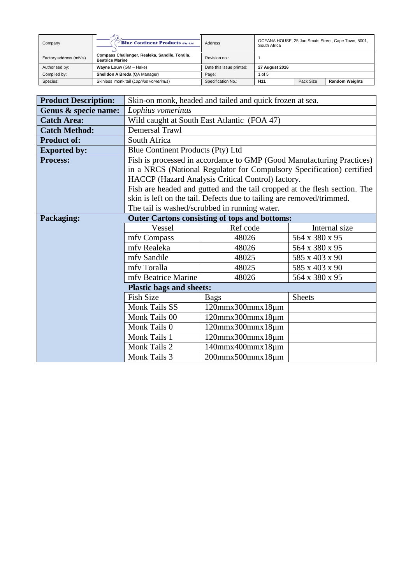| Company                 | <b>Blue Continent Products (Pty) Ltd</b>                                 | Address                  | OCEANA HOUSE, 25 Jan Smuts Street, Cape Town, 8001,<br>South Africa |           |                       |
|-------------------------|--------------------------------------------------------------------------|--------------------------|---------------------------------------------------------------------|-----------|-----------------------|
| Factory address (mfv's) | Compass Challenger, Realeka, Sandile, Toralla,<br><b>Beatrice Marine</b> | Revision no.:            |                                                                     |           |                       |
| Authorised by:          | Wayne Louw (GM - Hake)                                                   | Date this issue printed: | 27 August 2016                                                      |           |                       |
| Compiled by:            | Shelldon A Breda (QA Manager)                                            | Page:                    | 1 of 5                                                              |           |                       |
| Species:                | Skinless monk tail (Lophius vomerinus)                                   | Specification No.:       | H <sub>11</sub>                                                     | Pack Size | <b>Random Weights</b> |

| <b>Product Description:</b> |                                             | Skin-on monk, headed and tailed and quick frozen at sea.                  |                |  |  |
|-----------------------------|---------------------------------------------|---------------------------------------------------------------------------|----------------|--|--|
| Genus & specie name:        | Lophius vomerinus                           |                                                                           |                |  |  |
| <b>Catch Area:</b>          | Wild caught at South East Atlantic (FOA 47) |                                                                           |                |  |  |
| <b>Catch Method:</b>        | <b>Demersal Trawl</b>                       |                                                                           |                |  |  |
| <b>Product of:</b>          | South Africa                                |                                                                           |                |  |  |
| <b>Exported by:</b>         | Blue Continent Products (Pty) Ltd           |                                                                           |                |  |  |
| <b>Process:</b>             |                                             | Fish is processed in accordance to GMP (Good Manufacturing Practices)     |                |  |  |
|                             |                                             | in a NRCS (National Regulator for Compulsory Specification) certified     |                |  |  |
|                             |                                             | HACCP (Hazard Analysis Critical Control) factory.                         |                |  |  |
|                             |                                             | Fish are headed and gutted and the tail cropped at the flesh section. The |                |  |  |
|                             |                                             | skin is left on the tail. Defects due to tailing are removed/trimmed.     |                |  |  |
|                             |                                             | The tail is washed/scrubbed in running water.                             |                |  |  |
| Packaging:                  |                                             | <b>Outer Cartons consisting of tops and bottoms:</b>                      |                |  |  |
|                             | Vessel                                      | Ref code                                                                  | Internal size  |  |  |
|                             | mfv Compass                                 | 48026                                                                     | 564 x 380 x 95 |  |  |
|                             | mfv Realeka                                 | 48026                                                                     | 564 x 380 x 95 |  |  |
|                             | mfy Sandile                                 | 48025                                                                     | 585 x 403 x 90 |  |  |
|                             | mfv Toralla                                 | 48025                                                                     | 585 x 403 x 90 |  |  |
|                             | mfv Beatrice Marine                         | 48026                                                                     | 564 x 380 x 95 |  |  |
|                             | <b>Plastic bags and sheets:</b>             |                                                                           |                |  |  |
|                             | <b>Fish Size</b>                            | <b>Bags</b>                                                               | <b>Sheets</b>  |  |  |
|                             | Monk Tails SS                               | $120$ mmx $300$ mmx $18$ µm                                               |                |  |  |
|                             | Monk Tails 00                               | $120$ mmx $300$ mmx $18$ µm                                               |                |  |  |
|                             | Monk Tails 0<br>$120$ mmx $300$ mmx $18$ µm |                                                                           |                |  |  |
|                             | Monk Tails 1<br>$120$ mmx $300$ mmx $18$ µm |                                                                           |                |  |  |
|                             | Monk Tails 2                                | 140mmx400mmx18µm                                                          |                |  |  |
|                             | Monk Tails 3                                | $200$ mmx $500$ mmx $18$ µm                                               |                |  |  |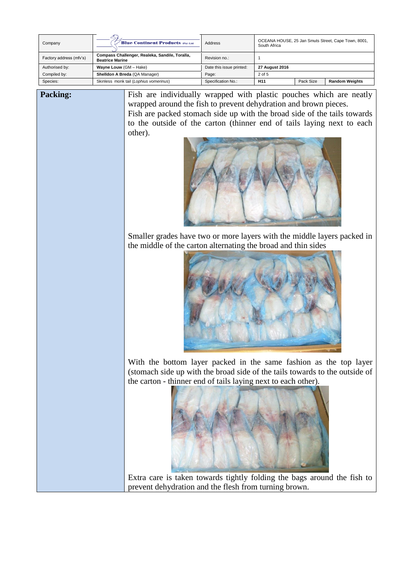| Company                 | <b>Blue Continent Products (Pty) Ltd</b>                                 | Address                  | OCEANA HOUSE, 25 Jan Smuts Street, Cape Town, 8001,<br>South Africa |           |                       |
|-------------------------|--------------------------------------------------------------------------|--------------------------|---------------------------------------------------------------------|-----------|-----------------------|
| Factory address (mfv's) | Compass Challenger, Realeka, Sandile, Toralla,<br><b>Beatrice Marine</b> | Revision no.:            |                                                                     |           |                       |
| Authorised by:          | Wayne Louw (GM - Hake)                                                   | Date this issue printed: | 27 August 2016                                                      |           |                       |
| Compiled by:            | Shelldon A Breda (QA Manager)                                            | Page:                    | $2$ of 5                                                            |           |                       |
| Species:                | Skinless monk tail (Lophius vomerinus)                                   | Specification No.:       | H <sub>11</sub>                                                     | Pack Size | <b>Random Weights</b> |

**Packing:** Fish are individually wrapped with plastic pouches which are neatly wrapped around the fish to prevent dehydration and brown pieces. Fish are packed stomach side up with the broad side of the tails towards to the outside of the carton (thinner end of tails laying next to each other).



Smaller grades have two or more layers with the middle layers packed in the middle of the carton alternating the broad and thin sides



With the bottom layer packed in the same fashion as the top layer (stomach side up with the broad side of the tails towards to the outside of the carton - thinner end of tails laying next to each other).



Extra care is taken towards tightly folding the bags around the fish to prevent dehydration and the flesh from turning brown.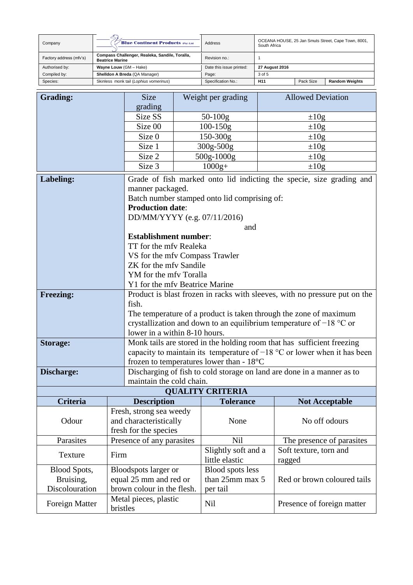| Company                 | <b>Blue Continent Products (Pty) Ltd</b>                                 | Address                  | OCEANA HOUSE, 25 Jan Smuts Street, Cape Town, 8001,<br>South Africa |           |                       |
|-------------------------|--------------------------------------------------------------------------|--------------------------|---------------------------------------------------------------------|-----------|-----------------------|
| Factory address (mfv's) | Compass Challenger, Realeka, Sandile, Toralla,<br><b>Beatrice Marine</b> | Revision no.:            |                                                                     |           |                       |
| Authorised by:          | Wayne Louw (GM - Hake)                                                   | Date this issue printed: | 27 August 2016                                                      |           |                       |
| Compiled by:            | Shelldon A Breda (QA Manager)                                            | Page:                    | 3 of 5                                                              |           |                       |
| Species:                | Skinless monk tail (Lophius vomerinus)                                   | Specification No.:       | H <sub>11</sub>                                                     | Pack Size | <b>Random Weights</b> |

| <b>Grading:</b>                     | <b>Size</b>                       |                                                                                                                                                      | Weight per grading                           | <b>Allowed Deviation</b>                                                   |  |  |  |
|-------------------------------------|-----------------------------------|------------------------------------------------------------------------------------------------------------------------------------------------------|----------------------------------------------|----------------------------------------------------------------------------|--|--|--|
|                                     | grading                           |                                                                                                                                                      |                                              |                                                                            |  |  |  |
|                                     | Size SS                           |                                                                                                                                                      | $50 - 100g$                                  | $\pm 10g$                                                                  |  |  |  |
|                                     | Size 00                           |                                                                                                                                                      | $100 - 150g$                                 | $\pm 10g$                                                                  |  |  |  |
|                                     | Size 0                            |                                                                                                                                                      | 150-300g                                     | $\pm 10g$                                                                  |  |  |  |
|                                     | Size 1                            |                                                                                                                                                      | 300g-500g                                    | $\pm 10g$                                                                  |  |  |  |
|                                     | Size 2                            |                                                                                                                                                      | 500g-1000g                                   | $\pm 10g$                                                                  |  |  |  |
|                                     | Size 3                            |                                                                                                                                                      | $1000g+$                                     | $\pm 10g$                                                                  |  |  |  |
| Labeling:                           |                                   |                                                                                                                                                      |                                              | Grade of fish marked onto lid indicting the specie, size grading and       |  |  |  |
|                                     | manner packaged.                  |                                                                                                                                                      |                                              |                                                                            |  |  |  |
|                                     |                                   |                                                                                                                                                      | Batch number stamped onto lid comprising of: |                                                                            |  |  |  |
|                                     | <b>Production date:</b>           |                                                                                                                                                      |                                              |                                                                            |  |  |  |
|                                     | DD/MM/YYYY (e.g. 07/11/2016)      |                                                                                                                                                      |                                              |                                                                            |  |  |  |
|                                     |                                   |                                                                                                                                                      | and                                          |                                                                            |  |  |  |
|                                     | <b>Establishment number:</b>      |                                                                                                                                                      |                                              |                                                                            |  |  |  |
|                                     | TT for the mfy Realeka            |                                                                                                                                                      |                                              |                                                                            |  |  |  |
|                                     | VS for the mfv Compass Trawler    |                                                                                                                                                      |                                              |                                                                            |  |  |  |
|                                     | ZK for the mfv Sandile            |                                                                                                                                                      |                                              |                                                                            |  |  |  |
|                                     | YM for the mfv Toralla            |                                                                                                                                                      |                                              |                                                                            |  |  |  |
|                                     | Y1 for the mfv Beatrice Marine    |                                                                                                                                                      |                                              |                                                                            |  |  |  |
| <b>Freezing:</b>                    | fish.                             |                                                                                                                                                      |                                              | Product is blast frozen in racks with sleeves, with no pressure put on the |  |  |  |
|                                     |                                   |                                                                                                                                                      |                                              |                                                                            |  |  |  |
|                                     |                                   | The temperature of a product is taken through the zone of maximum<br>crystallization and down to an equilibrium temperature of $-18$ °C or           |                                              |                                                                            |  |  |  |
|                                     |                                   | lower in a within 8-10 hours.                                                                                                                        |                                              |                                                                            |  |  |  |
| <b>Storage:</b>                     |                                   |                                                                                                                                                      |                                              |                                                                            |  |  |  |
|                                     |                                   | Monk tails are stored in the holding room that has sufficient freezing<br>capacity to maintain its temperature of $-18$ °C or lower when it has been |                                              |                                                                            |  |  |  |
|                                     |                                   | frozen to temperatures lower than - $18^{\circ}$ C                                                                                                   |                                              |                                                                            |  |  |  |
| Discharge:                          |                                   | Discharging of fish to cold storage on land are done in a manner as to                                                                               |                                              |                                                                            |  |  |  |
|                                     |                                   | maintain the cold chain.                                                                                                                             |                                              |                                                                            |  |  |  |
|                                     |                                   |                                                                                                                                                      | <b>QUALITY CRITERIA</b>                      |                                                                            |  |  |  |
| Criteria                            | <b>Description</b>                |                                                                                                                                                      | <b>Tolerance</b>                             | <b>Not Acceptable</b>                                                      |  |  |  |
|                                     | Fresh, strong sea weedy           |                                                                                                                                                      |                                              |                                                                            |  |  |  |
| Odour                               | and characteristically            |                                                                                                                                                      | None                                         | No off odours                                                              |  |  |  |
|                                     | fresh for the species             |                                                                                                                                                      |                                              |                                                                            |  |  |  |
| Parasites                           | Presence of any parasites         |                                                                                                                                                      | Nil                                          | The presence of parasites                                                  |  |  |  |
| Texture<br>Firm                     |                                   |                                                                                                                                                      | Slightly soft and a                          | Soft texture, torn and                                                     |  |  |  |
|                                     |                                   | little elastic                                                                                                                                       | ragged                                       |                                                                            |  |  |  |
| <b>Blood Spots,</b>                 | Bloodspots larger or              |                                                                                                                                                      | Blood spots less                             |                                                                            |  |  |  |
| equal 25 mm and red or<br>Bruising, |                                   | than 25mm max 5                                                                                                                                      | Red or brown coloured tails                  |                                                                            |  |  |  |
| Discolouration                      | brown colour in the flesh.        |                                                                                                                                                      | per tail                                     |                                                                            |  |  |  |
| Foreign Matter                      | Metal pieces, plastic<br>bristles |                                                                                                                                                      | Nil                                          | Presence of foreign matter                                                 |  |  |  |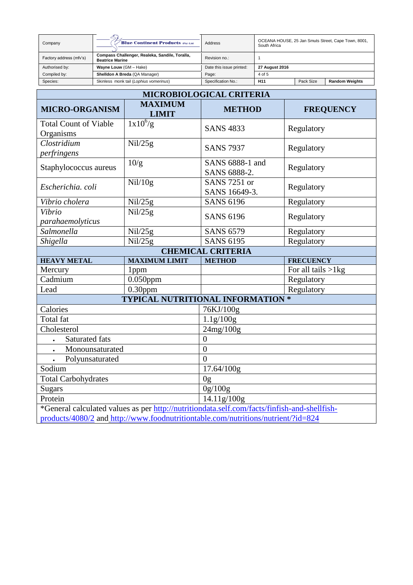| Company                 | <b>Blue Continent Products (Pty) Ltd</b>                                 | Address                  | OCEANA HOUSE, 25 Jan Smuts Street, Cape Town, 8001,<br>South Africa |           |                       |
|-------------------------|--------------------------------------------------------------------------|--------------------------|---------------------------------------------------------------------|-----------|-----------------------|
| Factory address (mfv's) | Compass Challenger, Realeka, Sandile, Toralla,<br><b>Beatrice Marine</b> | Revision no.:            |                                                                     |           |                       |
| Authorised by:          | Wayne Louw (GM - Hake)                                                   | Date this issue printed: | 27 August 2016                                                      |           |                       |
| Compiled by:            | Shelldon A Breda (QA Manager)                                            | Page:                    | 4 of 5                                                              |           |                       |
| Species:                | Skinless monk tail (Lophius vomerinus)                                   | Specification No.:       | H <sub>11</sub>                                                     | Pack Size | <b>Random Weights</b> |

| <b>MICROBIOLOGICAL CRITERIA</b>                                                              |                                |                                          |                       |  |  |  |
|----------------------------------------------------------------------------------------------|--------------------------------|------------------------------------------|-----------------------|--|--|--|
| <b>MICRO-ORGANISM</b>                                                                        | <b>MAXIMUM</b><br><b>LIMIT</b> | <b>METHOD</b>                            | <b>FREQUENCY</b>      |  |  |  |
| <b>Total Count of Viable</b><br>Organisms                                                    | $1x10^6/g$                     | <b>SANS 4833</b>                         | Regulatory            |  |  |  |
| Clostridium<br>perfringens                                                                   | Nil/25g                        | <b>SANS 7937</b>                         | Regulatory            |  |  |  |
| Staphylococcus aureus                                                                        | 10/g                           | SANS 6888-1 and<br>SANS 6888-2.          | Regulatory            |  |  |  |
| Escherichia. coli                                                                            | Nil/10g                        | <b>SANS 7251 or</b><br>SANS 16649-3.     | Regulatory            |  |  |  |
| Vibrio cholera                                                                               | Nil/25g                        | <b>SANS 6196</b>                         | Regulatory            |  |  |  |
| Vibrio<br>parahaemolyticus                                                                   | Nil/25g                        | <b>SANS 6196</b>                         | Regulatory            |  |  |  |
| Salmonella                                                                                   | Nil/25g                        | <b>SANS 6579</b>                         | Regulatory            |  |  |  |
| Shigella                                                                                     | Nil/25g                        | <b>SANS 6195</b>                         | Regulatory            |  |  |  |
|                                                                                              |                                | <b>CHEMICAL CRITERIA</b>                 |                       |  |  |  |
| <b>HEAVY METAL</b>                                                                           | <b>MAXIMUM LIMIT</b>           | <b>METHOD</b>                            | <b>FRECUENCY</b>      |  |  |  |
| Mercury                                                                                      | 1 <sub>ppm</sub>               |                                          | For all tails $>1$ kg |  |  |  |
| Cadmium                                                                                      | $0.050$ ppm                    |                                          | Regulatory            |  |  |  |
| Lead                                                                                         | $0.30$ ppm                     |                                          | Regulatory            |  |  |  |
|                                                                                              |                                | <b>TYPICAL NUTRITIONAL INFORMATION *</b> |                       |  |  |  |
| Calories                                                                                     |                                | 76KJ/100g                                |                       |  |  |  |
| Total fat                                                                                    |                                | 1.1g/100g                                |                       |  |  |  |
| Cholesterol                                                                                  |                                | 24mg/100g                                |                       |  |  |  |
| <b>Saturated fats</b>                                                                        |                                | $\overline{0}$                           |                       |  |  |  |
| Monounsaturated                                                                              |                                | $\overline{0}$                           |                       |  |  |  |
| Polyunsaturated<br>$\bullet$                                                                 |                                | $\overline{0}$                           |                       |  |  |  |
| Sodium                                                                                       |                                | 17.64/100g                               |                       |  |  |  |
| <b>Total Carbohydrates</b>                                                                   |                                | 0 <sub>g</sub>                           |                       |  |  |  |
| <b>Sugars</b>                                                                                |                                | 0g/100g                                  |                       |  |  |  |
| 14.11g/100g<br>Protein                                                                       |                                |                                          |                       |  |  |  |
| *General calculated values as per http://nutritiondata.self.com/facts/finfish-and-shellfish- |                                |                                          |                       |  |  |  |
| products/4080/2 and http://www.foodnutritiontable.com/nutritions/nutrient/?id=824            |                                |                                          |                       |  |  |  |